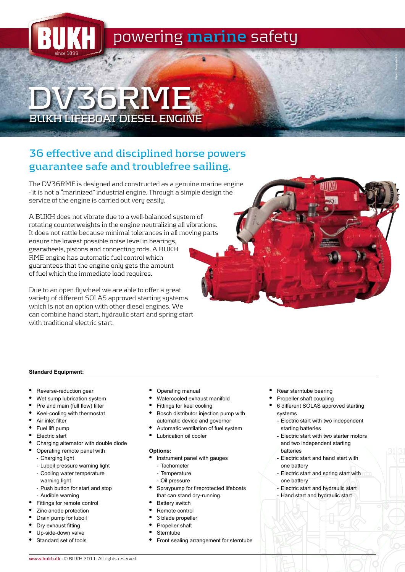

# **DV36RME BUKH LIFEBOAT DIESEL ENGINE**

## **36 effective and disciplined horse powers guarantee safe and troublefree sailing.**

The DV36RME is designed and constructed as a genuine marine engine - it is not a "marinized" industrial engine. Through a simple design the service of the engine is carried out very easily.

A BUKH does not vibrate due to a well-balanced system of rotating counterweights in the engine neutralizing all vibrations. It does not rattle because minimal tolerances in all moving parts ensure the lowest possible noise level in bearings, gearwheels, pistons and connecting rods. A BUKH RME engine has automatic fuel control which guarantees that the engine only gets the amount of fuel which the immediate load requires.

Due to an open flywheel we are able to offer a great variety of different SOLAS approved starting systems which is not an option with other diesel engines. We can combine hand start, hydraulic start and spring start with traditional electric start.

#### **Standard Equipment:**

- Reverse-reduction gear
- Wet sump lubrication system
- Pre and main (full flow) filter
- • Keel-cooling with thermostat
- • Air inlet filter
- Fuel lift pump
- Electric start
- Charging alternator with double diode
- • Operating remote panel with
	- Charging light
	- Luboil pressure warning light
	- Cooling water temperature warning light
	- Push button for start and stop
	- Audible warning
- Fittings for remote control
- Zinc anode protection
- Drain pump for luboil
- Dry exhaust fitting
- Up-side-down valve
- Standard set of tools
- **Operating manual**
- Watercooled exhaust manifold
- Fittings for keel cooling
- Bosch distributor injection pump with automatic device and governor
- Automatic ventilation of fuel system
- Lubrication oil cooler

#### **Options:**

- Instrument panel with gauges
- Tachometer
- Temperature
- Oil pressure
- Spraypump for fireprotected lifeboats that can stand dry-running.
- **Battery switch**
- Remote control
- 3 blade propeller
- Propeller shaft
- **Sterntube**
- Front sealing arrangement for sterntube
- Rear sterntube bearing
- Propeller shaft coupling
- 6 different SOLAS approved starting systems

Photo: Norsafe AS

- Electric start with two independent starting batteries
- Electric start with two starter motors and two independent starting batteries
- Electric start and hand start with one battery
- Electric start and spring start with one battery
- Electric start and hydraulic start
- Hand start and hydraulic start